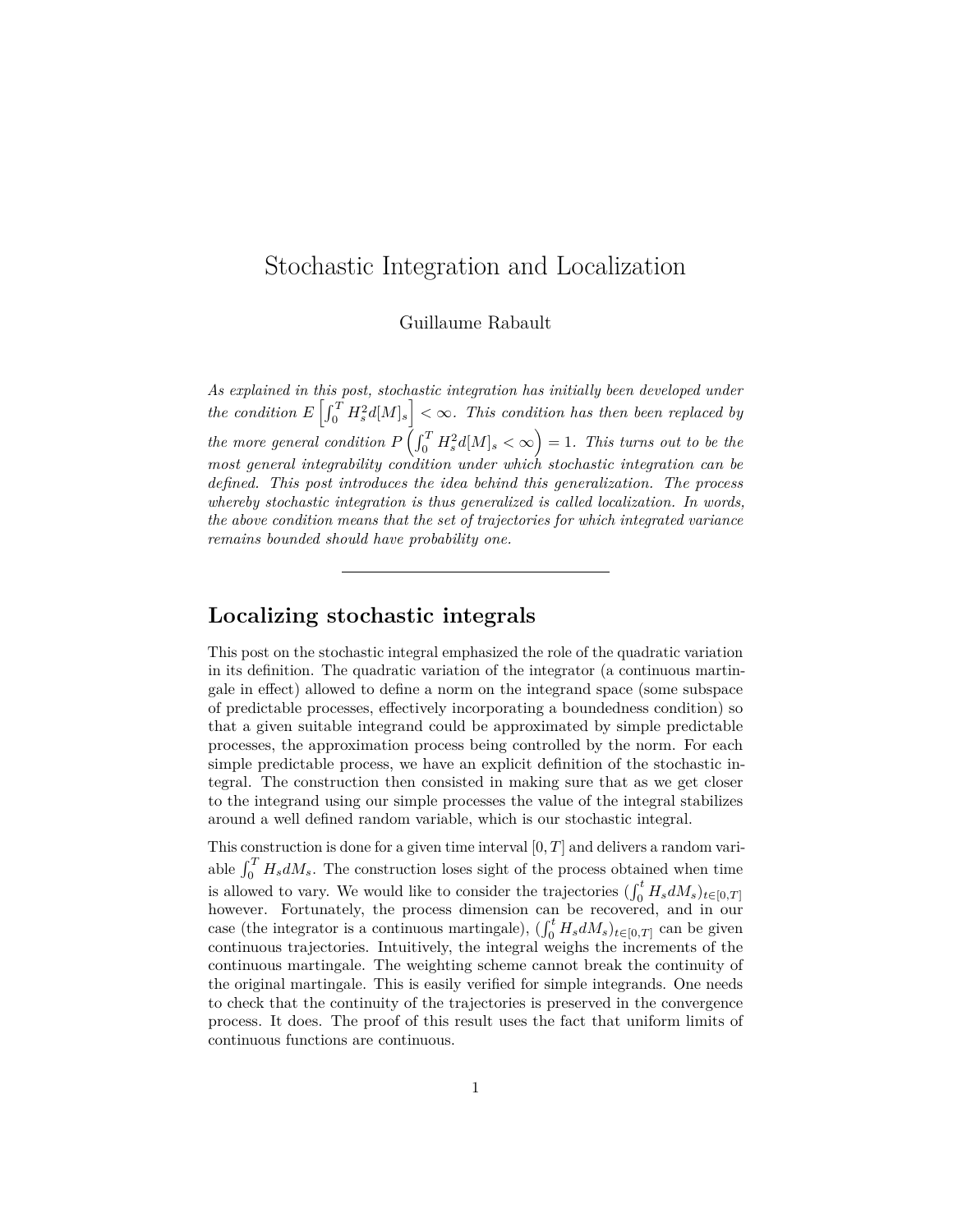# Stochastic Integration and Localization

Guillaume Rabault

*As explained in [this post,](/math/2013/05/29/quadratic-variation-and-stochastic-integration.html) stochastic integration has initially been developed under*  $\int_0^T H_s^2 d[M]_s$   $\leq \infty$ . This condition has then been replaced by *the more general condition*  $P\left(\int_0^T H_s^2 d[M]_s < \infty\right) = 1$ *. This turns out to be the most general integrability condition under which stochastic integration can be defined. This post introduces the idea behind this generalization. The process whereby stochastic integration is thus generalized is called localization. In words, the above condition means that the set of trajectories for which integrated variance remains bounded should have probability one.*

#### **Localizing stochastic integrals**

[This post](/math/2013/05/29/quadratic-variation-and-stochastic-integration.html) on the stochastic integral emphasized the role of the quadratic variation in its definition. The quadratic variation of the integrator (a continuous martingale in effect) allowed to define a norm on the integrand space (some subspace of predictable processes, effectively incorporating a boundedness condition) so that a given suitable integrand could be approximated by simple predictable processes, the approximation process being controlled by the norm. For each simple predictable process, we have an explicit definition of the stochastic integral. The construction then consisted in making sure that as we get closer to the integrand using our simple processes the value of the integral stabilizes around a well defined random variable, which is our stochastic integral.

This construction is done for a given time interval [0*, T*] and delivers a random variable  $\int_0^T H_s dM_s$ . The construction loses sight of the process obtained when time is allowed to vary. We would like to consider the trajectories  $(\int_0^t H_s dM_s)_{t \in [0,T]}$ however. Fortunately, the process dimension can be recovered, and in our case (the integrator is a continuous martingale),  $(\int_0^t H_s dM_s)_{t \in [0,T]}$  can be given continuous trajectories. Intuitively, the integral weighs the increments of the continuous martingale. The weighting scheme cannot break the continuity of the original martingale. This is easily verified for simple integrands. One needs to check that the continuity of the trajectories is preserved in the convergence process. It does. The proof of this result uses the fact that uniform limits of continuous functions are continuous.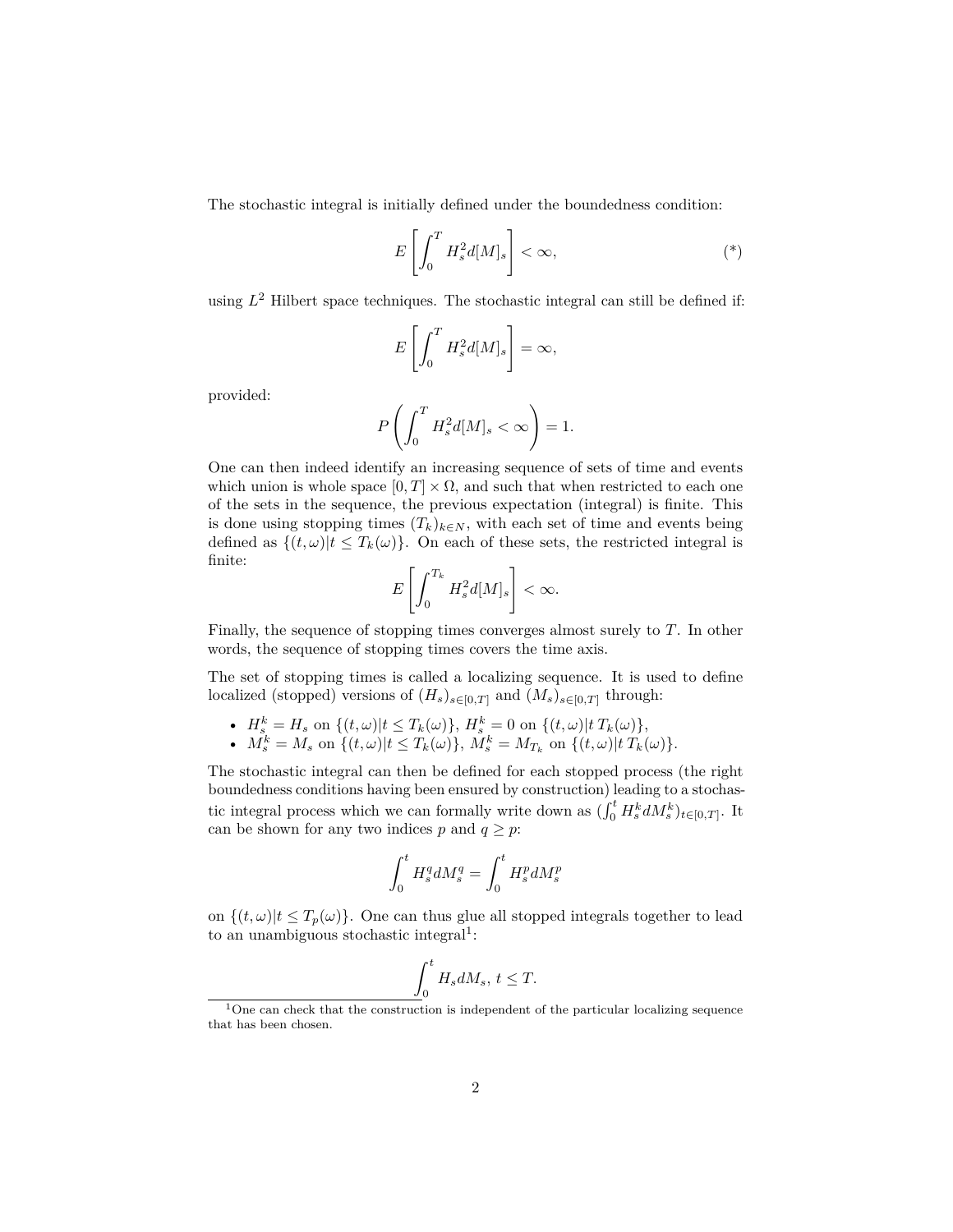The stochastic integral is initially defined under the boundedness condition:

$$
E\left[\int_0^T H_s^2 d[M]_s\right] < \infty,
$$
 (\*)

using *L* <sup>2</sup> Hilbert space techniques. The stochastic integral can still be defined if:

$$
E\left[\int_0^T H_s^2 d[M]_s\right] = \infty,
$$

provided:

$$
P\left(\int_0^T H_s^2 d[M]_s < \infty\right) = 1.
$$

One can then indeed identify an increasing sequence of sets of time and events which union is whole space  $[0, T] \times \Omega$ , and such that when restricted to each one of the sets in the sequence, the previous expectation (integral) is finite. This is done using stopping times  $(T_k)_{k \in N}$ , with each set of time and events being defined as  $\{(t,\omega)|t \leq T_k(\omega)\}\$ . On each of these sets, the restricted integral is finite:

$$
E\left[\int_0^{T_k} H_s^2 d[M]_s\right] < \infty.
$$

Finally, the sequence of stopping times converges almost surely to *T*. In other words, the sequence of stopping times covers the time axis.

The set of stopping times is called a localizing sequence. It is used to define localized (stopped) versions of  $(H_s)_{s \in [0,T]}$  and  $(M_s)_{s \in [0,T]}$  through:

- $H_s^k = H_s$  on  $\{(t, \omega) | t \leq T_k(\omega) \}, H_s^k = 0$  on  $\{(t, \omega) | t \in T_k(\omega) \},$
- $M_s^k = M_s$  on  $\{(t, \omega) | t \leq T_k(\omega)\}, M_s^k = M_{T_k}$  on  $\{(t, \omega) | t \in T_k(\omega)\}.$

The stochastic integral can then be defined for each stopped process (the right boundedness conditions having been ensured by construction) leading to a stochastic integral process which we can formally write down as  $(\int_0^t H_s^k dM_s^k)_{t \in [0,T]}$ . It can be shown for any two indices  $p$  and  $q \geq p$ :

$$
\int_0^t H_s^q dM_s^q = \int_0^t H_s^p dM_s^p
$$

on  $\{(t,\omega)|t \leq T_p(\omega)\}\.$  One can thus glue all stopped integrals together to lead to an unambiguous stochastic integral<sup>[1](#page-1-0)</sup>:

$$
\int_0^t H_s dM_s, \, t \leq T.
$$

<span id="page-1-0"></span> $1$ One can check that the construction is independent of the particular localizing sequence that has been chosen.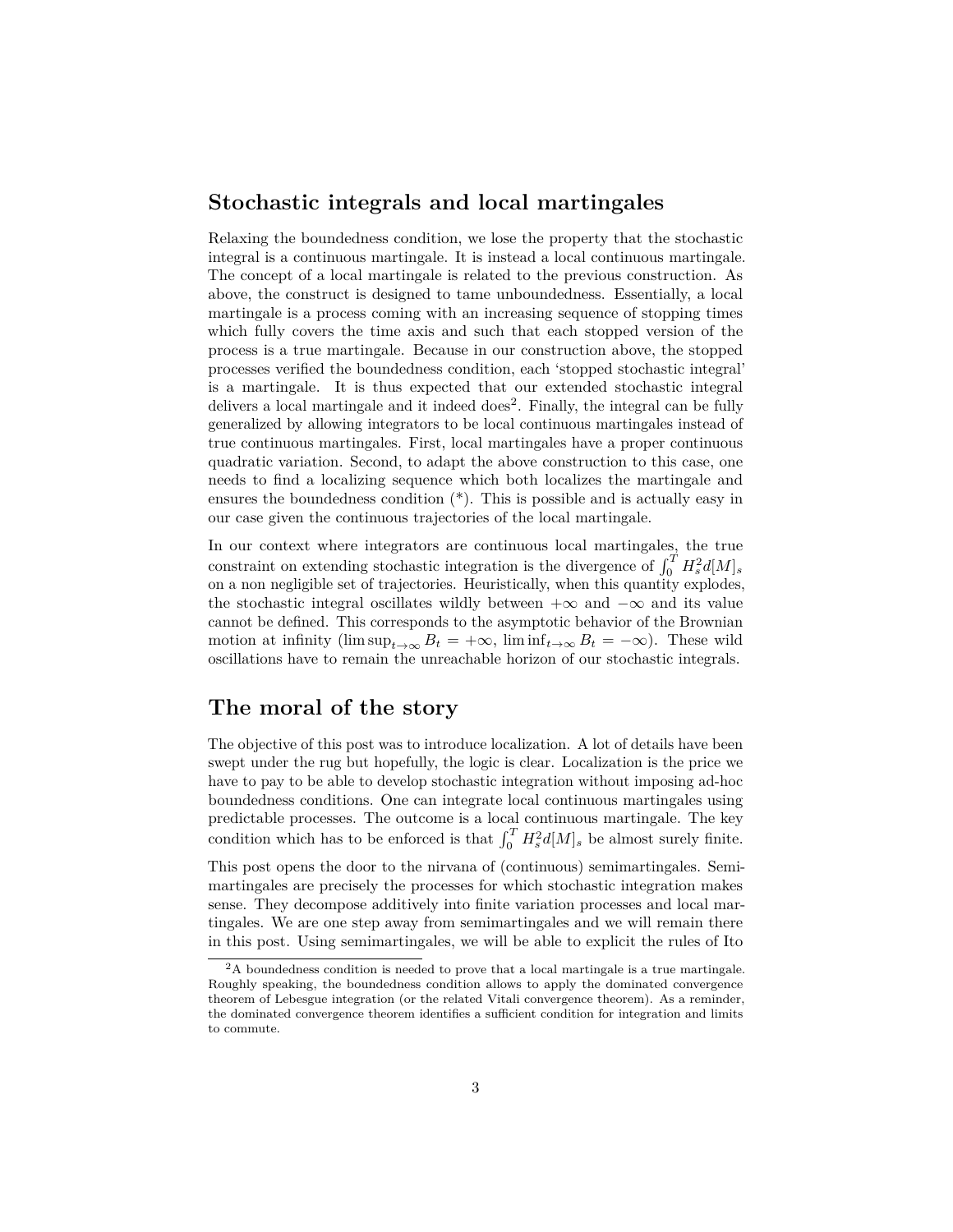#### **Stochastic integrals and local martingales**

Relaxing the boundedness condition, we lose the property that the stochastic integral is a continuous martingale. It is instead a local continuous martingale. The concept of a local martingale is related to the previous construction. As above, the construct is designed to tame unboundedness. Essentially, a local martingale is a process coming with an increasing sequence of stopping times which fully covers the time axis and such that each stopped version of the process is a true martingale. Because in our construction above, the stopped processes verified the boundedness condition, each 'stopped stochastic integral' is a martingale. It is thus expected that our extended stochastic integral delivers a local martingale and it indeed does<sup>[2](#page-2-0)</sup>. Finally, the integral can be fully generalized by allowing integrators to be local continuous martingales instead of true continuous martingales. First, local martingales have a proper continuous quadratic variation. Second, to adapt the above construction to this case, one needs to find a localizing sequence which both localizes the martingale and ensures the boundedness condition (\*). This is possible and is actually easy in our case given the continuous trajectories of the local martingale.

In our context where integrators are continuous local martingales, the true constraint on extending stochastic integration is the divergence of  $\int_0^T H_s^2 d[M]_s$ on a non negligible set of trajectories. Heuristically, when this quantity explodes, the stochastic integral oscillates wildly between  $+\infty$  and  $-\infty$  and its value cannot be defined. This corresponds to the asymptotic behavior of the Brownian motion at infinity (lim sup<sub> $t\rightarrow\infty$ </sub>  $B_t = +\infty$ , lim inf $t\rightarrow\infty$   $B_t = -\infty$ ). These wild oscillations have to remain the unreachable horizon of our stochastic integrals.

### **The moral of the story**

The objective of this post was to introduce localization. A lot of details have been swept under the rug but hopefully, the logic is clear. Localization is the price we have to pay to be able to develop stochastic integration without imposing ad-hoc boundedness conditions. One can integrate local continuous martingales using predictable processes. The outcome is a local continuous martingale. The key condition which has to be enforced is that  $\int_0^T H_s^2 d[M]_s$  be almost surely finite.

This post opens the door to the nirvana of (continuous) semimartingales. Semimartingales are precisely the processes for which stochastic integration makes sense. They decompose additively into finite variation processes and local martingales. We are one step away from semimartingales and we will remain there in this post. Using semimartingales, we will be able to explicit the rules of Ito

<span id="page-2-0"></span><sup>2</sup>A boundedness condition is needed to prove that a local martingale is a true martingale. Roughly speaking, the boundedness condition allows to apply the dominated convergence theorem of Lebesgue integration (or the related Vitali convergence theorem). As a reminder, the dominated convergence theorem identifies a sufficient condition for integration and limits to commute.